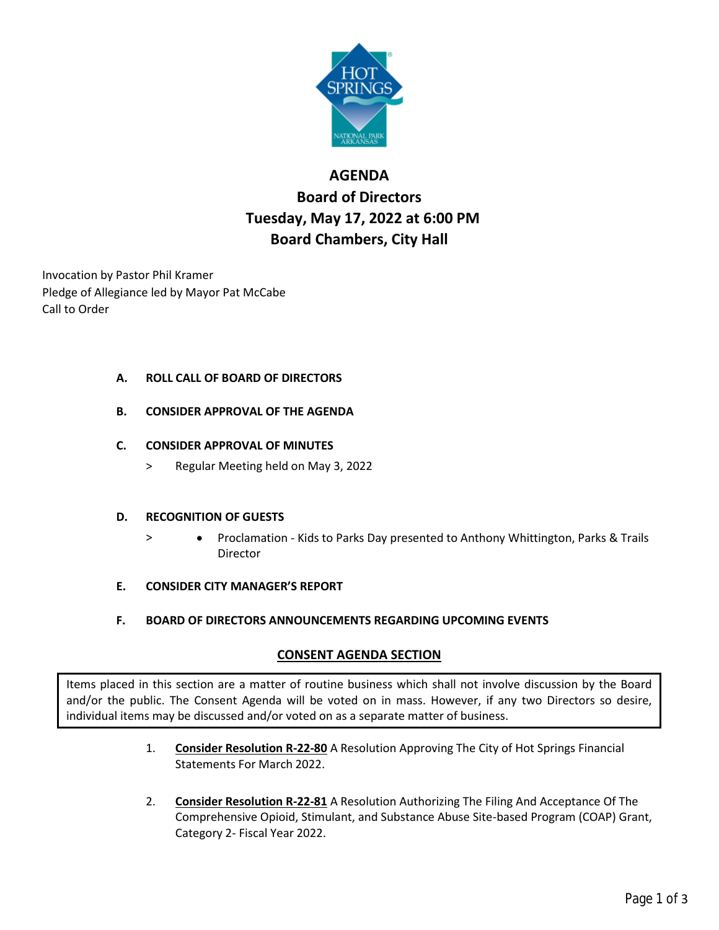

# **AGENDA Board of Directors Tuesday, May 17, 2022 at 6:00 PM Board Chambers, City Hall**

Invocation by Pastor Phil Kramer Pledge of Allegiance led by Mayor Pat McCabe Call to Order

## **A. ROLL CALL OF BOARD OF DIRECTORS**

**B. CONSIDER APPROVAL OF THE AGENDA**

# **C. CONSIDER APPROVAL OF MINUTES**

> Regular Meeting held on May 3, 2022

## **D. RECOGNITION OF GUESTS**

- > Proclamation Kids to Parks Day presented to Anthony Whittington, Parks & Trails Director
- **E. CONSIDER CITY MANAGER'S REPORT**
- **F. BOARD OF DIRECTORS ANNOUNCEMENTS REGARDING UPCOMING EVENTS**

# **CONSENT AGENDA SECTION**

Items placed in this section are a matter of routine business which shall not involve discussion by the Board and/or the public. The Consent Agenda will be voted on in mass. However, if any two Directors so desire, individual items may be discussed and/or voted on as a separate matter of business.

- 1. **Consider Resolution R-22-80** A Resolution Approving The City of Hot Springs Financial Statements For March 2022.
- 2. **Consider Resolution R-22-81** A Resolution Authorizing The Filing And Acceptance Of The Comprehensive Opioid, Stimulant, and Substance Abuse Site-based Program (COAP) Grant, Category 2- Fiscal Year 2022.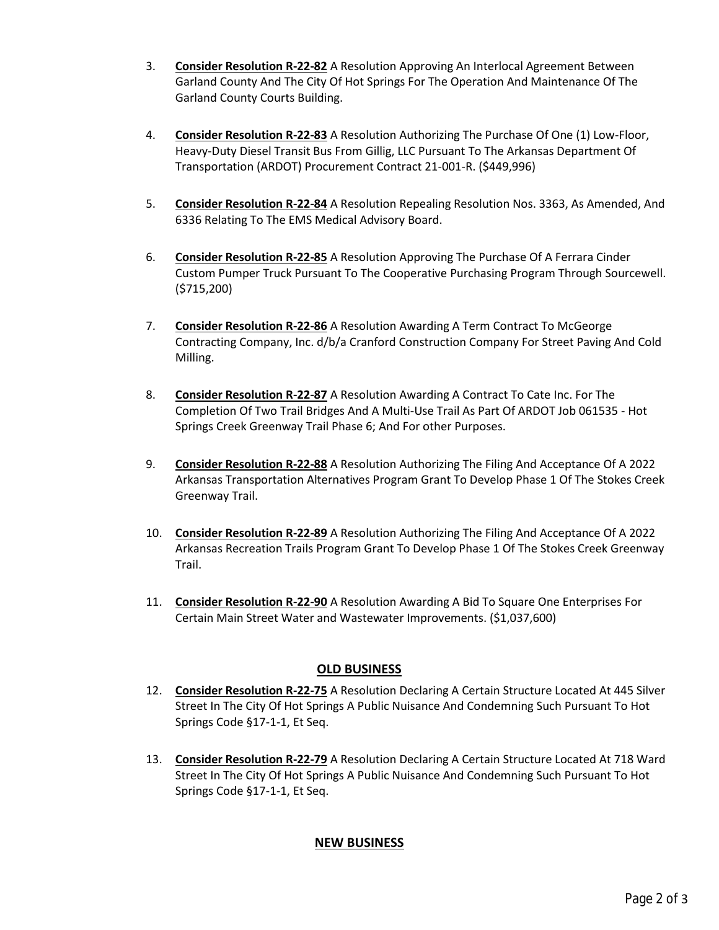- 3. **Consider Resolution R-22-82** A Resolution Approving An Interlocal Agreement Between Garland County And The City Of Hot Springs For The Operation And Maintenance Of The Garland County Courts Building.
- 4. **Consider Resolution R-22-83** A Resolution Authorizing The Purchase Of One (1) Low-Floor, Heavy-Duty Diesel Transit Bus From Gillig, LLC Pursuant To The Arkansas Department Of Transportation (ARDOT) Procurement Contract 21-001-R. (\$449,996)
- 5. **Consider Resolution R-22-84** A Resolution Repealing Resolution Nos. 3363, As Amended, And 6336 Relating To The EMS Medical Advisory Board.
- 6. **Consider Resolution R-22-85** A Resolution Approving The Purchase Of A Ferrara Cinder Custom Pumper Truck Pursuant To The Cooperative Purchasing Program Through Sourcewell. (\$715,200)
- 7. **Consider Resolution R-22-86** A Resolution Awarding A Term Contract To McGeorge Contracting Company, Inc. d/b/a Cranford Construction Company For Street Paving And Cold Milling.
- 8. **Consider Resolution R-22-87** A Resolution Awarding A Contract To Cate Inc. For The Completion Of Two Trail Bridges And A Multi-Use Trail As Part Of ARDOT Job 061535 - Hot Springs Creek Greenway Trail Phase 6; And For other Purposes.
- 9. **Consider Resolution R-22-88** A Resolution Authorizing The Filing And Acceptance Of A 2022 Arkansas Transportation Alternatives Program Grant To Develop Phase 1 Of The Stokes Creek Greenway Trail.
- 10. **Consider Resolution R-22-89** A Resolution Authorizing The Filing And Acceptance Of A 2022 Arkansas Recreation Trails Program Grant To Develop Phase 1 Of The Stokes Creek Greenway Trail.
- 11. **Consider Resolution R-22-90** A Resolution Awarding A Bid To Square One Enterprises For Certain Main Street Water and Wastewater Improvements. (\$1,037,600)

## **OLD BUSINESS**

- 12. **Consider Resolution R-22-75** A Resolution Declaring A Certain Structure Located At 445 Silver Street In The City Of Hot Springs A Public Nuisance And Condemning Such Pursuant To Hot Springs Code §17-1-1, Et Seq.
- 13. **Consider Resolution R-22-79** A Resolution Declaring A Certain Structure Located At 718 Ward Street In The City Of Hot Springs A Public Nuisance And Condemning Such Pursuant To Hot Springs Code §17-1-1, Et Seq.

## **NEW BUSINESS**